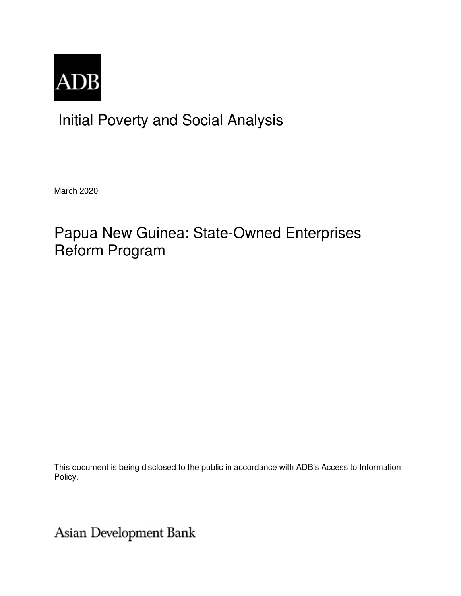

# Initial Poverty and Social Analysis

March 2020

# Papua New Guinea: State-Owned Enterprises Reform Program

This document is being disclosed to the public in accordance with ADB's Access to Information Policy.

Asian Development Bank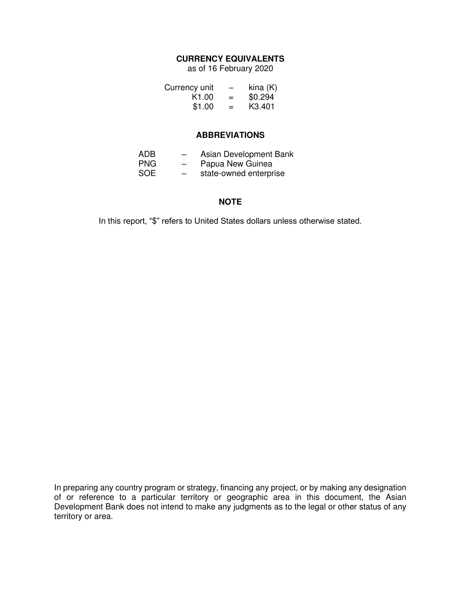## **CURRENCY EQUIVALENTS**

as of 16 February 2020

| Currency unit     | -   | $\text{kina}$ (K)   |
|-------------------|-----|---------------------|
| K <sub>1.00</sub> | $=$ | \$0.294             |
| \$1.00            | $=$ | K <sub>3</sub> .401 |

### **ABBREVIATIONS**

| ADB        | $\overline{\phantom{0}}$ | Asian Development Bank |
|------------|--------------------------|------------------------|
| <b>PNG</b> | $\overline{\phantom{m}}$ | Papua New Guinea       |
| <b>SOE</b> | $\overline{\phantom{m}}$ | state-owned enterprise |

### **NOTE**

In this report, "\$" refers to United States dollars unless otherwise stated.

In preparing any country program or strategy, financing any project, or by making any designation of or reference to a particular territory or geographic area in this document, the Asian Development Bank does not intend to make any judgments as to the legal or other status of any territory or area.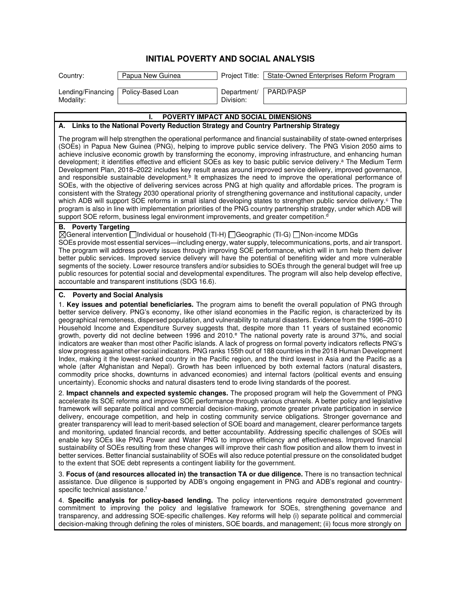|                                                                                                                                                                                                                                                                                                                                                                                                                                                                                                                                                                                                                                                                                                                                                                                                                                                                                                                                                                                                                                                                                                                                                                                                                                                                                                                                            | <b>INITIAL POVERTY AND SOCIAL ANALYSIS</b>                                                         |                          |                                                                                                                                                                                                                                                                                                                                                                                                                                                                                                                                                                                                                                                                                                                                                                                                                                                                                                                                                                                                                                                                                                                                                                                                                                  |
|--------------------------------------------------------------------------------------------------------------------------------------------------------------------------------------------------------------------------------------------------------------------------------------------------------------------------------------------------------------------------------------------------------------------------------------------------------------------------------------------------------------------------------------------------------------------------------------------------------------------------------------------------------------------------------------------------------------------------------------------------------------------------------------------------------------------------------------------------------------------------------------------------------------------------------------------------------------------------------------------------------------------------------------------------------------------------------------------------------------------------------------------------------------------------------------------------------------------------------------------------------------------------------------------------------------------------------------------|----------------------------------------------------------------------------------------------------|--------------------------|----------------------------------------------------------------------------------------------------------------------------------------------------------------------------------------------------------------------------------------------------------------------------------------------------------------------------------------------------------------------------------------------------------------------------------------------------------------------------------------------------------------------------------------------------------------------------------------------------------------------------------------------------------------------------------------------------------------------------------------------------------------------------------------------------------------------------------------------------------------------------------------------------------------------------------------------------------------------------------------------------------------------------------------------------------------------------------------------------------------------------------------------------------------------------------------------------------------------------------|
| Country:                                                                                                                                                                                                                                                                                                                                                                                                                                                                                                                                                                                                                                                                                                                                                                                                                                                                                                                                                                                                                                                                                                                                                                                                                                                                                                                                   | Papua New Guinea                                                                                   | Project Title:           | State-Owned Enterprises Reform Program                                                                                                                                                                                                                                                                                                                                                                                                                                                                                                                                                                                                                                                                                                                                                                                                                                                                                                                                                                                                                                                                                                                                                                                           |
| Lending/Financing<br>Modality:                                                                                                                                                                                                                                                                                                                                                                                                                                                                                                                                                                                                                                                                                                                                                                                                                                                                                                                                                                                                                                                                                                                                                                                                                                                                                                             | Policy-Based Loan                                                                                  | Department/<br>Division: | PARD/PASP                                                                                                                                                                                                                                                                                                                                                                                                                                                                                                                                                                                                                                                                                                                                                                                                                                                                                                                                                                                                                                                                                                                                                                                                                        |
|                                                                                                                                                                                                                                                                                                                                                                                                                                                                                                                                                                                                                                                                                                                                                                                                                                                                                                                                                                                                                                                                                                                                                                                                                                                                                                                                            | POVERTY IMPACT AND SOCIAL DIMENSIONS                                                               |                          |                                                                                                                                                                                                                                                                                                                                                                                                                                                                                                                                                                                                                                                                                                                                                                                                                                                                                                                                                                                                                                                                                                                                                                                                                                  |
| А.                                                                                                                                                                                                                                                                                                                                                                                                                                                                                                                                                                                                                                                                                                                                                                                                                                                                                                                                                                                                                                                                                                                                                                                                                                                                                                                                         | Links to the National Poverty Reduction Strategy and Country Partnership Strategy                  |                          |                                                                                                                                                                                                                                                                                                                                                                                                                                                                                                                                                                                                                                                                                                                                                                                                                                                                                                                                                                                                                                                                                                                                                                                                                                  |
|                                                                                                                                                                                                                                                                                                                                                                                                                                                                                                                                                                                                                                                                                                                                                                                                                                                                                                                                                                                                                                                                                                                                                                                                                                                                                                                                            | support SOE reform, business legal environment improvements, and greater competition. <sup>d</sup> |                          | The program will help strengthen the operational performance and financial sustainability of state-owned enterprises<br>(SOEs) in Papua New Guinea (PNG), helping to improve public service delivery. The PNG Vision 2050 aims to<br>achieve inclusive economic growth by transforming the economy, improving infrastructure, and enhancing human<br>development; it identifies effective and efficient SOEs as key to basic public service delivery. <sup>a</sup> The Medium Term<br>Development Plan, 2018-2022 includes key result areas around improved service delivery, improved governance,<br>and responsible sustainable development. <sup>b</sup> It emphasizes the need to improve the operational performance of<br>SOEs, with the objective of delivering services across PNG at high quality and affordable prices. The program is<br>consistent with the Strategy 2030 operational priority of strengthening governance and institutional capacity, under<br>which ADB will support SOE reforms in small island developing states to strengthen public service delivery. <sup>c</sup> The<br>program is also in line with implementation priorities of the PNG country partnership strategy, under which ADB will |
| <b>B.</b> Poverty Targeting<br>⊠General intervention Individual or household (TI-H) I Geographic (TI-G) I Non-income MDGs<br>SOEs provide most essential services—including energy, water supply, telecommunications, ports, and air transport.<br>The program will address poverty issues through improving SOE performance, which will in turn help them deliver<br>better public services. Improved service delivery will have the potential of benefiting wider and more vulnerable<br>segments of the society. Lower resource transfers and/or subsidies to SOEs through the general budget will free up<br>public resources for potential social and developmental expenditures. The program will also help develop effective,<br>accountable and transparent institutions (SDG 16.6).                                                                                                                                                                                                                                                                                                                                                                                                                                                                                                                                               |                                                                                                    |                          |                                                                                                                                                                                                                                                                                                                                                                                                                                                                                                                                                                                                                                                                                                                                                                                                                                                                                                                                                                                                                                                                                                                                                                                                                                  |
| C. Poverty and Social Analysis<br>1. Key issues and potential beneficiaries. The program aims to benefit the overall population of PNG through<br>better service delivery. PNG's economy, like other island economies in the Pacific region, is characterized by its<br>geographical remoteness, dispersed population, and vulnerability to natural disasters. Evidence from the 1996–2010<br>Household Income and Expenditure Survey suggests that, despite more than 11 years of sustained economic<br>growth, poverty did not decline between 1996 and 2010. <sup>e</sup> The national poverty rate is around 37%, and social<br>indicators are weaker than most other Pacific islands. A lack of progress on formal poverty indicators reflects PNG's<br>slow progress against other social indicators. PNG ranks 155th out of 188 countries in the 2018 Human Development<br>Index, making it the lowest-ranked country in the Pacific region, and the third lowest in Asia and the Pacific as a<br>whole (after Afghanistan and Nepal). Growth has been influenced by both external factors (natural disasters,<br>commodity price shocks, downturns in advanced economies) and internal factors (political events and ensuing<br>uncertainty). Economic shocks and natural disasters tend to erode living standards of the poorest. |                                                                                                    |                          |                                                                                                                                                                                                                                                                                                                                                                                                                                                                                                                                                                                                                                                                                                                                                                                                                                                                                                                                                                                                                                                                                                                                                                                                                                  |
|                                                                                                                                                                                                                                                                                                                                                                                                                                                                                                                                                                                                                                                                                                                                                                                                                                                                                                                                                                                                                                                                                                                                                                                                                                                                                                                                            | to the extent that SOE debt represents a contingent liability for the government.                  |                          | 2. Impact channels and expected systemic changes. The proposed program will help the Government of PNG<br>accelerate its SOE reforms and improve SOE performance through various channels. A better policy and legislative<br>framework will separate political and commercial decision-making, promote greater private participation in service<br>delivery, encourage competition, and help in costing community service obligations. Stronger governance and<br>greater transparency will lead to merit-based selection of SOE board and management, clearer performance targets<br>and monitoring, updated financial records, and better accountability. Addressing specific challenges of SOEs will<br>enable key SOEs like PNG Power and Water PNG to improve efficiency and effectiveness. Improved financial<br>sustainability of SOEs resulting from these changes will improve their cash flow position and allow them to invest in<br>better services. Better financial sustainability of SOEs will also reduce potential pressure on the consolidated budget                                                                                                                                                         |
| specific technical assistance. <sup>†</sup>                                                                                                                                                                                                                                                                                                                                                                                                                                                                                                                                                                                                                                                                                                                                                                                                                                                                                                                                                                                                                                                                                                                                                                                                                                                                                                |                                                                                                    |                          | 3. Focus of (and resources allocated in) the transaction TA or due diligence. There is no transaction technical<br>assistance. Due diligence is supported by ADB's ongoing engagement in PNG and ADB's regional and country-                                                                                                                                                                                                                                                                                                                                                                                                                                                                                                                                                                                                                                                                                                                                                                                                                                                                                                                                                                                                     |
|                                                                                                                                                                                                                                                                                                                                                                                                                                                                                                                                                                                                                                                                                                                                                                                                                                                                                                                                                                                                                                                                                                                                                                                                                                                                                                                                            |                                                                                                    |                          | A Specific analysis for policy-based lending. The policy interventions require demonstrated government                                                                                                                                                                                                                                                                                                                                                                                                                                                                                                                                                                                                                                                                                                                                                                                                                                                                                                                                                                                                                                                                                                                           |

4. **Specific analysis for policy-based lending.** The policy interventions require demonstrated government commitment to improving the policy and legislative framework for SOEs, strengthening governance and transparency, and addressing SOE-specific challenges. Key reforms will help (i) separate political and commercial decision-making through defining the roles of ministers, SOE boards, and management; (ii) focus more strongly on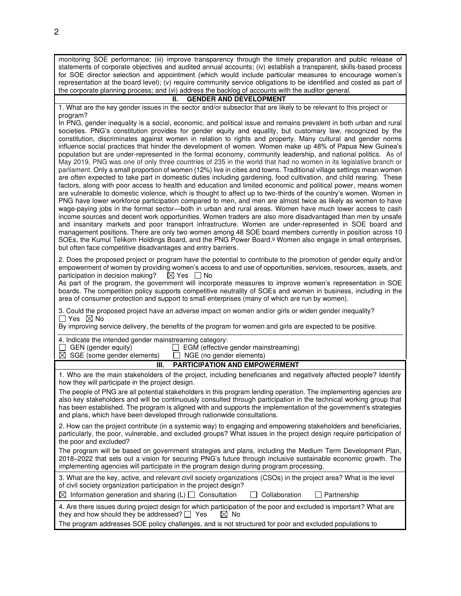monitoring SOE performance; (iii) improve transparency through the timely preparation and public release of statements of corporate objectives and audited annual accounts; (iv) establish a transparent, skills-based process for SOE director selection and appointment (which would include particular measures to encourage women's representation at the board level); (v) require community service obligations to be identified and costed as part of the corporate planning process; and (vi) address the backlog of accounts with the auditor general.

#### **II. GENDER AND DEVELOPMENT**

1. What are the key gender issues in the sector and/or subsector that are likely to be relevant to this project or program?

In PNG, gender inequality is a social, economic, and political issue and remains prevalent in both urban and rural societies. PNG's constitution provides for gender equity and equality, but customary law, recognized by the constitution, discriminates against women in relation to rights and property. Many cultural and gender norms influence social practices that hinder the development of women. Women make up 48% of Papua New Guinea's population but are under-represented in the formal economy, community leadership, and national politics. As of May 2019, PNG was one of only three countries of 235 in the world that had no women in its legislative branch or parliament. Only a small proportion of women (12%) live in cities and towns. Traditional village settings mean women are often expected to take part in domestic duties including gardening, food cultivation, and child rearing. These factors, along with poor access to health and education and limited economic and political power, means women are vulnerable to domestic violence, which is thought to affect up to two-thirds of the country's women. Women in PNG have lower workforce participation compared to men, and men are almost twice as likely as women to have wage-paying jobs in the formal sector—both in urban and rural areas. Women have much lower access to cash income sources and decent work opportunities. Women traders are also more disadvantaged than men by unsafe and insanitary markets and poor transport infrastructure. Women are under-represented in SOE board and management positions. There are only two women among 48 SOE board members currently in position across 10 SOEs, the Kumul Telikom Holdings Board, and the PNG Power Board.<sup>g</sup> Women also engage in small enterprises, but often face competitive disadvantages and entry barriers.

2. Does the proposed project or program have the potential to contribute to the promotion of gender equity and/or empowerment of women by providing women's access to and use of opportunities, services, resources, assets, and participation in decision making?  $\boxtimes$  Yes  $\Box$  No participation in decision making?

As part of the program, the government will incorporate measures to improve women's representation in SOE boards. The competition policy supports competitive neutrality of SOEs and women in business, including in the area of consumer protection and support to small enterprises (many of which are run by women).

3. Could the proposed project have an adverse impact on women and/or girls or widen gender inequality?  $\Box$  Yes  $\boxtimes$  No

By improving service delivery, the benefits of the program for women and girls are expected to be positive.

| 4. Indicate the intended gender mainstreaming category:<br>GEN (gender equity)<br>EGM (effective gender mainstreaming)<br>$\boxtimes$ SGE (some gender elements) $\Box$ NGE (no gender elements)                                                                                                                                                                                                                                      |  |
|---------------------------------------------------------------------------------------------------------------------------------------------------------------------------------------------------------------------------------------------------------------------------------------------------------------------------------------------------------------------------------------------------------------------------------------|--|
| <b>PARTICIPATION AND EMPOWERMENT</b><br>Ш.                                                                                                                                                                                                                                                                                                                                                                                            |  |
| 1. Who are the main stakeholders of the project, including beneficiaries and negatively affected people? Identify<br>how they will participate in the project design.                                                                                                                                                                                                                                                                 |  |
| The people of PNG are all potential stakeholders in this program lending operation. The implementing agencies are<br>also key stakeholders and will be continuously consulted through participation in the technical working group that<br>has been established. The program is aligned with and supports the implementation of the government's strategies<br>and plans, which have been developed through nationwide consultations. |  |
| 2. How can the project contribute (in a systemic way) to engaging and empowering stakeholders and beneficiaries,<br>particularly, the poor, vulnerable, and excluded groups? What issues in the project design require participation of<br>the poor and excluded?                                                                                                                                                                     |  |
| The program will be based on government strategies and plans, including the Medium Term Development Plan,<br>2018–2022 that sets out a vision for securing PNG's future through inclusive sustainable economic growth. The<br>implementing agencies will participate in the program design during program processing.                                                                                                                 |  |
| 3. What are the key, active, and relevant civil society organizations (CSOs) in the project area? What is the level<br>of civil society organization participation in the project design?<br>$\boxtimes$ Information generation and sharing (L) $\Box$ Consultation<br>Collaboration<br>$\Box$ Partnership<br>$\perp$                                                                                                                 |  |
| 4. Are there issues during project design for which participation of the poor and excluded is important? What are<br>they and how should they be addressed? $\Box$ Yes<br>⊠ No<br>The program addresses SOE policy challenges, and is not structured for poor and excluded populations to                                                                                                                                             |  |